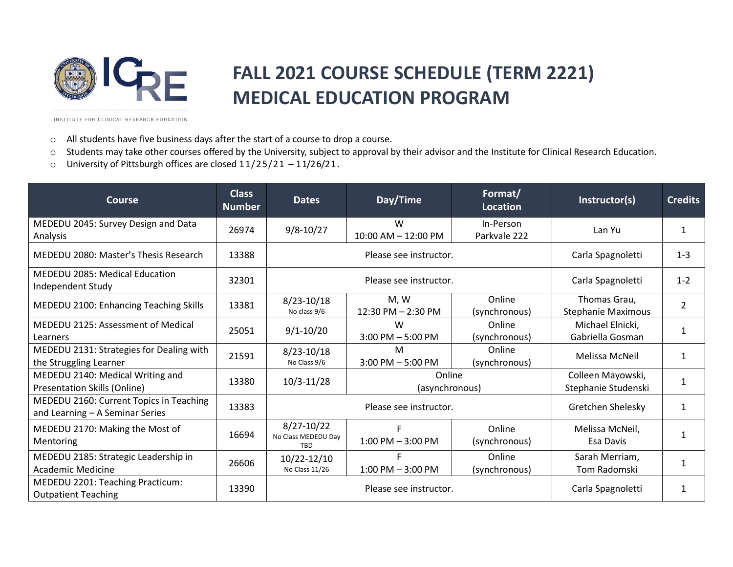

## **FALL 2021 COURSE SCHEDULE (TERM 2221) MEDICAL EDUCATION PROGRAM**

INSTITUTE FOR CLINICAL RESEARCH EDUCATION

- o All students have five business days after the start of a course to drop a course.
- o Students may take other courses offered by the University, subject to approval by their advisor and the Institute for Clinical Research Education.
- o University of Pittsburgh offices are closed 11/25/21 11/26/21.

| <b>Course</b>                                                              | <b>Class</b><br><b>Number</b> | <b>Dates</b>                                        | Day/Time                   | Format/<br>Location       | Instructor(s)                             | <b>Credits</b> |
|----------------------------------------------------------------------------|-------------------------------|-----------------------------------------------------|----------------------------|---------------------------|-------------------------------------------|----------------|
| MEDEDU 2045: Survey Design and Data<br>Analysis                            | 26974                         | $9/8 - 10/27$                                       | W<br>10:00 AM - 12:00 PM   | In-Person<br>Parkvale 222 | Lan Yu                                    | 1              |
| MEDEDU 2080: Master's Thesis Research                                      | 13388                         | Please see instructor.                              |                            |                           | Carla Spagnoletti                         | $1 - 3$        |
| <b>MEDEDU 2085: Medical Education</b><br>Independent Study                 | 32301                         | Please see instructor.                              |                            |                           | Carla Spagnoletti                         | $1 - 2$        |
| MEDEDU 2100: Enhancing Teaching Skills                                     | 13381                         | $8/23 - 10/18$<br>No class 9/6                      | M, W<br>12:30 PM - 2:30 PM | Online<br>(synchronous)   | Thomas Grau,<br><b>Stephanie Maximous</b> | $\overline{2}$ |
| MEDEDU 2125: Assessment of Medical<br>Learners                             | 25051                         | $9/1 - 10/20$                                       | W<br>$3:00$ PM $-5:00$ PM  | Online<br>(synchronous)   | Michael Elnicki,<br>Gabriella Gosman      | 1              |
| MEDEDU 2131: Strategies for Dealing with<br>the Struggling Learner         | 21591                         | $8/23 - 10/18$<br>No Class 9/6                      | M<br>$3:00$ PM $-5:00$ PM  | Online<br>(synchronous)   | Melissa McNeil                            | $\mathbf{1}$   |
| MEDEDU 2140: Medical Writing and<br>Presentation Skills (Online)           | 13380                         | $10/3 - 11/28$                                      | Online<br>(asynchronous)   |                           | Colleen Mayowski,<br>Stephanie Studenski  | 1              |
| MEDEDU 2160: Current Topics in Teaching<br>and Learning - A Seminar Series | 13383                         | Please see instructor.                              |                            |                           | Gretchen Shelesky                         | 1              |
| MEDEDU 2170: Making the Most of<br>Mentoring                               | 16694                         | $8/27 - 10/22$<br>No Class MEDEDU Day<br><b>TBD</b> | F<br>$1:00$ PM $-3:00$ PM  | Online<br>(synchronous)   | Melissa McNeil,<br>Esa Davis              | 1              |
| MEDEDU 2185: Strategic Leadership in<br><b>Academic Medicine</b>           | 26606                         | 10/22-12/10<br>No Class 11/26                       | $1:00$ PM $-3:00$ PM       | Online<br>(synchronous)   | Sarah Merriam,<br>Tom Radomski            | 1              |
| MEDEDU 2201: Teaching Practicum:<br><b>Outpatient Teaching</b>             | 13390                         | Please see instructor.                              |                            |                           | Carla Spagnoletti                         | 1              |